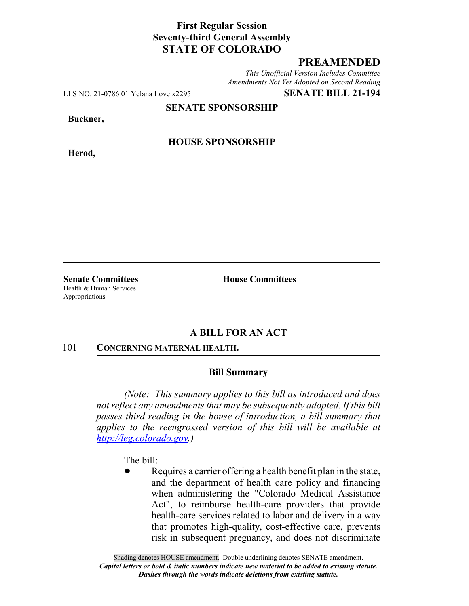## **First Regular Session Seventy-third General Assembly STATE OF COLORADO**

# **PREAMENDED**

*This Unofficial Version Includes Committee Amendments Not Yet Adopted on Second Reading*

LLS NO. 21-0786.01 Yelana Love x2295 **SENATE BILL 21-194**

**SENATE SPONSORSHIP**

**Buckner,**

**Herod,**

**HOUSE SPONSORSHIP**

Health & Human Services Appropriations

**Senate Committees House Committees** 

### **A BILL FOR AN ACT**

#### 101 **CONCERNING MATERNAL HEALTH.**

### **Bill Summary**

*(Note: This summary applies to this bill as introduced and does not reflect any amendments that may be subsequently adopted. If this bill passes third reading in the house of introduction, a bill summary that applies to the reengrossed version of this bill will be available at http://leg.colorado.gov.)*

The bill:

Requires a carrier offering a health benefit plan in the state, and the department of health care policy and financing when administering the "Colorado Medical Assistance Act", to reimburse health-care providers that provide health-care services related to labor and delivery in a way that promotes high-quality, cost-effective care, prevents risk in subsequent pregnancy, and does not discriminate

Shading denotes HOUSE amendment. Double underlining denotes SENATE amendment. *Capital letters or bold & italic numbers indicate new material to be added to existing statute. Dashes through the words indicate deletions from existing statute.*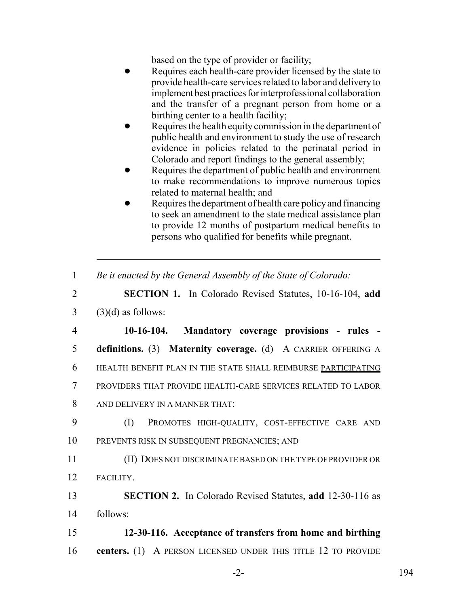based on the type of provider or facility;

- Requires each health-care provider licensed by the state to provide health-care services related to labor and delivery to implement best practices for interprofessional collaboration and the transfer of a pregnant person from home or a birthing center to a health facility;
- Requires the health equity commission in the department of public health and environment to study the use of research evidence in policies related to the perinatal period in Colorado and report findings to the general assembly;
- Requires the department of public health and environment to make recommendations to improve numerous topics related to maternal health; and
- Requires the department of health care policy and financing to seek an amendment to the state medical assistance plan to provide 12 months of postpartum medical benefits to persons who qualified for benefits while pregnant.
- 1 *Be it enacted by the General Assembly of the State of Colorado:*
- 2 **SECTION 1.** In Colorado Revised Statutes, 10-16-104, **add**  $3$  (3)(d) as follows:

 **10-16-104. Mandatory coverage provisions - rules - definitions.** (3) **Maternity coverage.** (d) A CARRIER OFFERING A HEALTH BENEFIT PLAN IN THE STATE SHALL REIMBURSE PARTICIPATING PROVIDERS THAT PROVIDE HEALTH-CARE SERVICES RELATED TO LABOR AND DELIVERY IN A MANNER THAT:

9 (I) PROMOTES HIGH-QUALITY, COST-EFFECTIVE CARE AND 10 PREVENTS RISK IN SUBSEQUENT PREGNANCIES; AND

11 (II) DOES NOT DISCRIMINATE BASED ON THE TYPE OF PROVIDER OR 12 FACILITY.

13 **SECTION 2.** In Colorado Revised Statutes, **add** 12-30-116 as 14 follows:

15 **12-30-116. Acceptance of transfers from home and birthing** 16 **centers.** (1) A PERSON LICENSED UNDER THIS TITLE 12 TO PROVIDE

-2- 194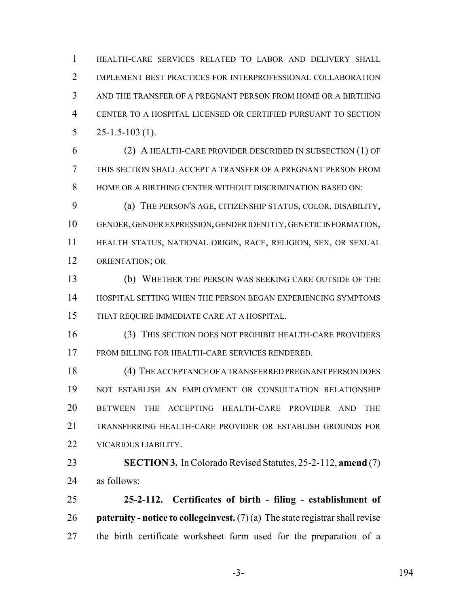HEALTH-CARE SERVICES RELATED TO LABOR AND DELIVERY SHALL IMPLEMENT BEST PRACTICES FOR INTERPROFESSIONAL COLLABORATION AND THE TRANSFER OF A PREGNANT PERSON FROM HOME OR A BIRTHING CENTER TO A HOSPITAL LICENSED OR CERTIFIED PURSUANT TO SECTION  $5 \qquad 25 - 1.5 - 103 \tag{1}.$ 

 (2) A HEALTH-CARE PROVIDER DESCRIBED IN SUBSECTION (1) OF THIS SECTION SHALL ACCEPT A TRANSFER OF A PREGNANT PERSON FROM HOME OR A BIRTHING CENTER WITHOUT DISCRIMINATION BASED ON:

 (a) THE PERSON'S AGE, CITIZENSHIP STATUS, COLOR, DISABILITY, GENDER, GENDER EXPRESSION, GENDER IDENTITY, GENETIC INFORMATION, HEALTH STATUS, NATIONAL ORIGIN, RACE, RELIGION, SEX, OR SEXUAL ORIENTATION; OR

 (b) WHETHER THE PERSON WAS SEEKING CARE OUTSIDE OF THE HOSPITAL SETTING WHEN THE PERSON BEGAN EXPERIENCING SYMPTOMS THAT REQUIRE IMMEDIATE CARE AT A HOSPITAL.

 (3) THIS SECTION DOES NOT PROHIBIT HEALTH-CARE PROVIDERS FROM BILLING FOR HEALTH-CARE SERVICES RENDERED.

 (4) THE ACCEPTANCE OF A TRANSFERRED PREGNANT PERSON DOES NOT ESTABLISH AN EMPLOYMENT OR CONSULTATION RELATIONSHIP BETWEEN THE ACCEPTING HEALTH-CARE PROVIDER AND THE TRANSFERRING HEALTH-CARE PROVIDER OR ESTABLISH GROUNDS FOR VICARIOUS LIABILITY.

 **SECTION 3.** In Colorado Revised Statutes, 25-2-112, **amend** (7) as follows:

 **25-2-112. Certificates of birth - filing - establishment of paternity - notice to collegeinvest.** (7) (a) The state registrar shall revise the birth certificate worksheet form used for the preparation of a

-3- 194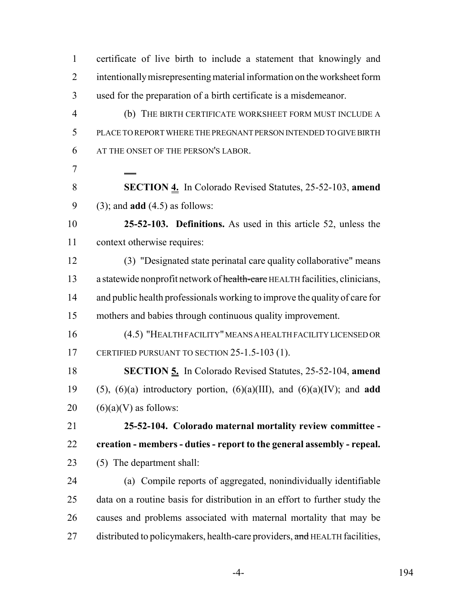certificate of live birth to include a statement that knowingly and intentionally misrepresenting material information on the worksheet form used for the preparation of a birth certificate is a misdemeanor. (b) THE BIRTH CERTIFICATE WORKSHEET FORM MUST INCLUDE A PLACE TO REPORT WHERE THE PREGNANT PERSON INTENDED TO GIVE BIRTH AT THE ONSET OF THE PERSON'S LABOR.  **SECTION 4.** In Colorado Revised Statutes, 25-52-103, **amend** (3); and **add** (4.5) as follows: **25-52-103. Definitions.** As used in this article 52, unless the context otherwise requires: (3) "Designated state perinatal care quality collaborative" means 13 a statewide nonprofit network of health-care HEALTH facilities, clinicians, and public health professionals working to improve the quality of care for mothers and babies through continuous quality improvement. (4.5) "HEALTH FACILITY" MEANS A HEALTH FACILITY LICENSED OR 17 CERTIFIED PURSUANT TO SECTION 25-1.5-103 (1). **SECTION 5.** In Colorado Revised Statutes, 25-52-104, **amend** (5), (6)(a) introductory portion, (6)(a)(III), and (6)(a)(IV); and **add**  $(6)(a)(V)$  as follows: **25-52-104. Colorado maternal mortality review committee - creation - members - duties - report to the general assembly - repeal.** (5) The department shall: (a) Compile reports of aggregated, nonindividually identifiable data on a routine basis for distribution in an effort to further study the causes and problems associated with maternal mortality that may be 27 distributed to policymakers, health-care providers, and HEALTH facilities,

-4- 194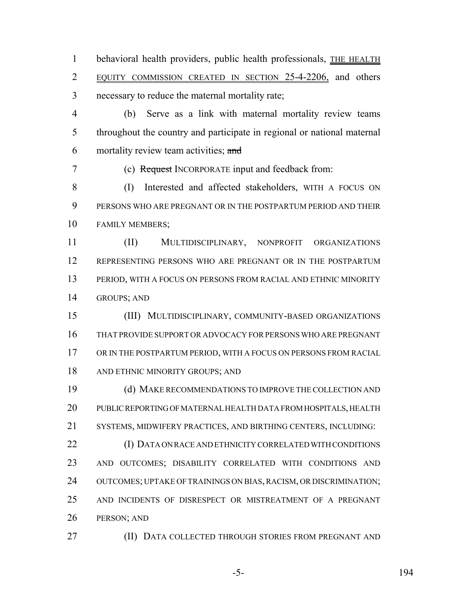1 behavioral health providers, public health professionals, THE HEALTH EQUITY COMMISSION CREATED IN SECTION 25-4-2206, and others necessary to reduce the maternal mortality rate;

 (b) Serve as a link with maternal mortality review teams throughout the country and participate in regional or national maternal 6 mortality review team activities;  $\frac{and}{}$ 

(c) Request INCORPORATE input and feedback from:

 (I) Interested and affected stakeholders, WITH A FOCUS ON PERSONS WHO ARE PREGNANT OR IN THE POSTPARTUM PERIOD AND THEIR FAMILY MEMBERS;

 (II) MULTIDISCIPLINARY, NONPROFIT ORGANIZATIONS REPRESENTING PERSONS WHO ARE PREGNANT OR IN THE POSTPARTUM PERIOD, WITH A FOCUS ON PERSONS FROM RACIAL AND ETHNIC MINORITY GROUPS; AND

 (III) MULTIDISCIPLINARY, COMMUNITY-BASED ORGANIZATIONS THAT PROVIDE SUPPORT OR ADVOCACY FOR PERSONS WHO ARE PREGNANT OR IN THE POSTPARTUM PERIOD, WITH A FOCUS ON PERSONS FROM RACIAL AND ETHNIC MINORITY GROUPS; AND

 (d) MAKE RECOMMENDATIONS TO IMPROVE THE COLLECTION AND PUBLIC REPORTING OF MATERNAL HEALTH DATA FROM HOSPITALS, HEALTH SYSTEMS, MIDWIFERY PRACTICES, AND BIRTHING CENTERS, INCLUDING:

 (I) DATA ON RACE AND ETHNICITY CORRELATED WITH CONDITIONS AND OUTCOMES; DISABILITY CORRELATED WITH CONDITIONS AND OUTCOMES; UPTAKE OF TRAININGS ON BIAS, RACISM, OR DISCRIMINATION; AND INCIDENTS OF DISRESPECT OR MISTREATMENT OF A PREGNANT PERSON; AND

**(II) DATA COLLECTED THROUGH STORIES FROM PREGNANT AND** 

-5- 194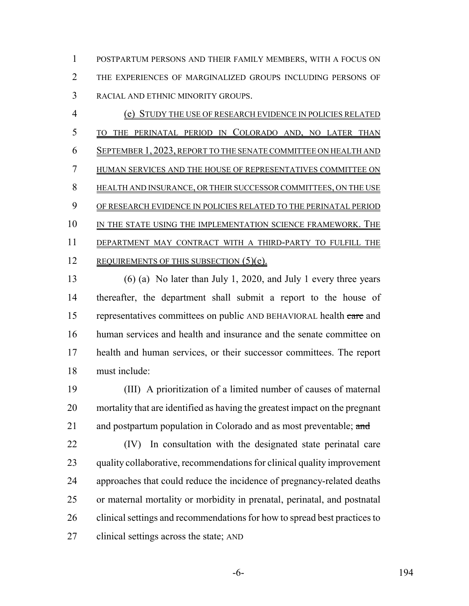POSTPARTUM PERSONS AND THEIR FAMILY MEMBERS, WITH A FOCUS ON THE EXPERIENCES OF MARGINALIZED GROUPS INCLUDING PERSONS OF RACIAL AND ETHNIC MINORITY GROUPS.

 (e) STUDY THE USE OF RESEARCH EVIDENCE IN POLICIES RELATED TO THE PERINATAL PERIOD IN COLORADO AND, NO LATER THAN SEPTEMBER 1, 2023, REPORT TO THE SENATE COMMITTEE ON HEALTH AND HUMAN SERVICES AND THE HOUSE OF REPRESENTATIVES COMMITTEE ON HEALTH AND INSURANCE, OR THEIR SUCCESSOR COMMITTEES, ON THE USE OF RESEARCH EVIDENCE IN POLICIES RELATED TO THE PERINATAL PERIOD 10 IN THE STATE USING THE IMPLEMENTATION SCIENCE FRAMEWORK. THE DEPARTMENT MAY CONTRACT WITH A THIRD-PARTY TO FULFILL THE 12 REQUIREMENTS OF THIS SUBSECTION (5)(e).

 (6) (a) No later than July 1, 2020, and July 1 every three years thereafter, the department shall submit a report to the house of 15 representatives committees on public AND BEHAVIORAL health care and human services and health and insurance and the senate committee on health and human services, or their successor committees. The report must include:

 (III) A prioritization of a limited number of causes of maternal mortality that are identified as having the greatest impact on the pregnant 21 and postpartum population in Colorado and as most preventable; and

 (IV) In consultation with the designated state perinatal care quality collaborative, recommendations for clinical quality improvement approaches that could reduce the incidence of pregnancy-related deaths or maternal mortality or morbidity in prenatal, perinatal, and postnatal clinical settings and recommendations for how to spread best practices to clinical settings across the state; AND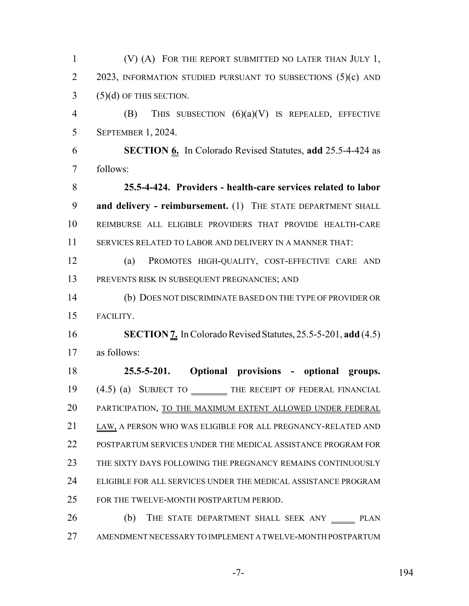(V) (A) FOR THE REPORT SUBMITTED NO LATER THAN JULY 1, 2 2023, INFORMATION STUDIED PURSUANT TO SUBSECTIONS (5)(c) AND (5)(d) OF THIS SECTION. (B) THIS SUBSECTION (6)(a)(V) IS REPEALED, EFFECTIVE SEPTEMBER 1, 2024. **SECTION 6.** In Colorado Revised Statutes, **add** 25.5-4-424 as follows: **25.5-4-424. Providers - health-care services related to labor and delivery - reimbursement.** (1) THE STATE DEPARTMENT SHALL REIMBURSE ALL ELIGIBLE PROVIDERS THAT PROVIDE HEALTH-CARE SERVICES RELATED TO LABOR AND DELIVERY IN A MANNER THAT: (a) PROMOTES HIGH-QUALITY, COST-EFFECTIVE CARE AND PREVENTS RISK IN SUBSEQUENT PREGNANCIES; AND (b) DOES NOT DISCRIMINATE BASED ON THE TYPE OF PROVIDER OR FACILITY. **SECTION 7.** In Colorado Revised Statutes, 25.5-5-201, **add** (4.5) as follows: **25.5-5-201. Optional provisions - optional groups.** 19 (4.5) (a) SUBJECT TO THE RECEIPT OF FEDERAL FINANCIAL 20 PARTICIPATION, TO THE MAXIMUM EXTENT ALLOWED UNDER FEDERAL LAW, A PERSON WHO WAS ELIGIBLE FOR ALL PREGNANCY-RELATED AND POSTPARTUM SERVICES UNDER THE MEDICAL ASSISTANCE PROGRAM FOR THE SIXTY DAYS FOLLOWING THE PREGNANCY REMAINS CONTINUOUSLY ELIGIBLE FOR ALL SERVICES UNDER THE MEDICAL ASSISTANCE PROGRAM FOR THE TWELVE-MONTH POSTPARTUM PERIOD. 26 (b) THE STATE DEPARTMENT SHALL SEEK ANY PLAN AMENDMENT NECESSARY TO IMPLEMENT A TWELVE-MONTH POSTPARTUM

-7- 194